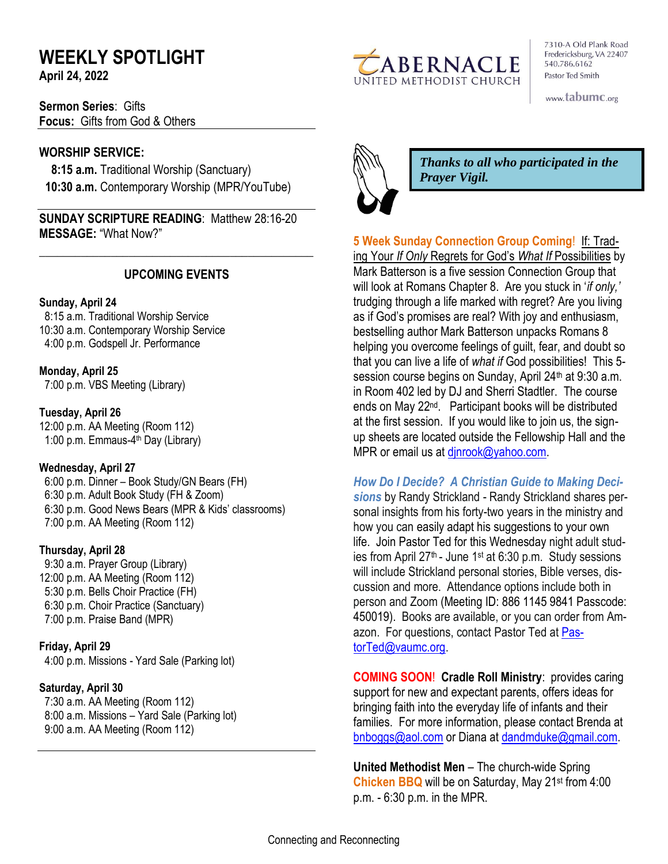# **WEEKLY SPOTLIGHT**

**April 24, 2022** 

**Sermon Series**: Gifts **Focus:** Gifts from God & Others

## **WORSHIP SERVICE:**

 **8:15 a.m.** Traditional Worship (Sanctuary)  **10:30 a.m.** Contemporary Worship (MPR/YouTube)

**SUNDAY SCRIPTURE READING**: Matthew 28:16-20 **MESSAGE:** "What Now?"

## **UPCOMING EVENTS**

\_\_\_\_\_\_\_\_\_\_\_\_\_\_\_\_\_\_\_\_\_\_\_\_\_\_\_\_\_\_\_\_\_\_\_\_\_\_\_\_\_\_\_\_\_\_

#### **Sunday, April 24**

8:15 a.m. Traditional Worship Service 10:30 a.m. Contemporary Worship Service 4:00 p.m. Godspell Jr. Performance

**Monday, April 25**

7:00 p.m. VBS Meeting (Library)

## **Tuesday, April 26**

12:00 p.m. AA Meeting (Room 112) 1:00 p.m. Emmaus-4<sup>th</sup> Day (Library)

## **Wednesday, April 27**

 6:00 p.m. Dinner – Book Study/GN Bears (FH) 6:30 p.m. Adult Book Study (FH & Zoom) 6:30 p.m. Good News Bears (MPR & Kids' classrooms) 7:00 p.m. AA Meeting (Room 112)

## **Thursday, April 28**

9:30 a.m. Prayer Group (Library) 12:00 p.m. AA Meeting (Room 112) 5:30 p.m. Bells Choir Practice (FH) 6:30 p.m. Choir Practice (Sanctuary) 7:00 p.m. Praise Band (MPR)

## **Friday, April 29**

4:00 p.m. Missions - Yard Sale (Parking lot)

## **Saturday, April 30**

 7:30 a.m. AA Meeting (Room 112) 8:00 a.m. Missions – Yard Sale (Parking lot) 9:00 a.m. AA Meeting (Room 112)



7310-A Old Plank Road Fredericksburg, VA 22407 540.786.6162 Pastor Ted Smith

www.tabumc.org



*Thanks to all who participated in the Prayer Vigil.*

**5 Week Sunday Connection Group Coming**! If: Trading Your *If Only* Regrets for God's *What If* Possibilities by Mark Batterson is a five session Connection Group that will look at Romans Chapter 8. Are you stuck in '*if only,'* trudging through a life marked with regret? Are you living as if God's promises are real? With joy and enthusiasm, bestselling author Mark Batterson unpacks Romans 8 helping you overcome feelings of guilt, fear, and doubt so that you can live a life of *what if* God possibilities! This 5 session course begins on Sunday, April 24<sup>th</sup> at 9:30 a.m. in Room 402 led by DJ and Sherri Stadtler. The course ends on May 22nd. Participant books will be distributed at the first session. If you would like to join us, the signup sheets are located outside the Fellowship Hall and the MPR or email us at dinrook@yahoo.com.

## *How Do I Decide? A Christian Guide to Making Deci-*

*sions* by Randy Strickland - Randy Strickland shares personal insights from his forty-two years in the ministry and how you can easily adapt his suggestions to your own life. Join Pastor Ted for this Wednesday night adult studies from April  $27<sup>th</sup>$  - June 1<sup>st</sup> at 6:30 p.m. Study sessions will include Strickland personal stories, Bible verses, discussion and more. Attendance options include both in person and Zoom (Meeting ID: 886 1145 9841 Passcode: 450019). Books are available, or you can order from Amazon. For questions, contact Pastor Ted at [Pas](mailto:PastorTed@vaumc.org)[torTed@vaumc.org.](mailto:PastorTed@vaumc.org)

**COMING SOON**! **Cradle Roll Ministry**: provides caring support for new and expectant parents, offers ideas for bringing faith into the everyday life of infants and their families. For more information, please contact Brenda at [bnboggs@aol.com](mailto:bnboggs@aol.com) or Diana at [dandmduke@gmail.com.](mailto:dandmduke@gmail.com)

**United Methodist Men** – The church-wide Spring **Chicken BBQ** will be on Saturday, May 21st from 4:00 p.m. - 6:30 p.m. in the MPR.